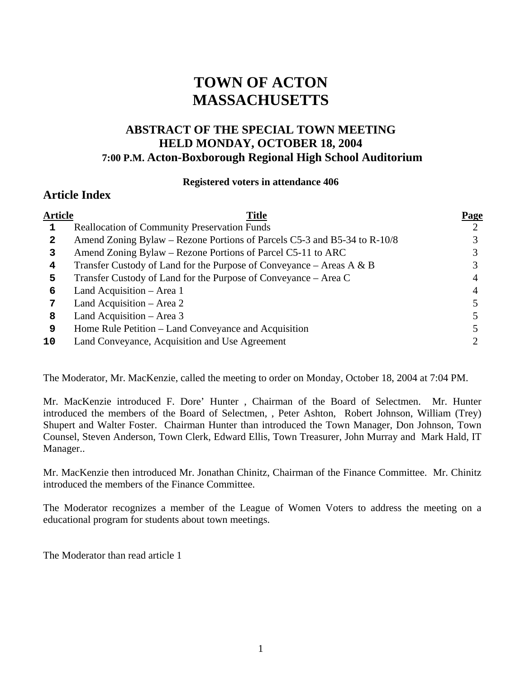# **TOWN OF ACTON MASSACHUSETTS**

# **ABSTRACT OF THE SPECIAL TOWN MEETING HELD MONDAY, OCTOBER 18, 2004 7:00 P.M. Acton-Boxborough Regional High School Auditorium**

#### **Registered voters in attendance 406**

# **Article Index**

| <b>Article</b> | Title                                                                    | <u>Page</u> |
|----------------|--------------------------------------------------------------------------|-------------|
|                | <b>Reallocation of Community Preservation Funds</b>                      |             |
| 2              | Amend Zoning Bylaw – Rezone Portions of Parcels C5-3 and B5-34 to R-10/8 |             |
| 3              | Amend Zoning Bylaw – Rezone Portions of Parcel C5-11 to ARC              |             |
| 4              | Transfer Custody of Land for the Purpose of Conveyance – Areas A & B     |             |
| 5              | Transfer Custody of Land for the Purpose of Conveyance – Area C          |             |
| 6              | Land Acquisition - Area 1                                                |             |
|                | Land Acquisition – Area 2                                                |             |
| 8              | Land Acquisition - Area 3                                                |             |
| 9              | Home Rule Petition – Land Conveyance and Acquisition                     |             |
| 10             | Land Conveyance, Acquisition and Use Agreement                           |             |
|                |                                                                          |             |

The Moderator, Mr. MacKenzie, called the meeting to order on Monday, October 18, 2004 at 7:04 PM.

Mr. MacKenzie introduced F. Dore' Hunter , Chairman of the Board of Selectmen. Mr. Hunter introduced the members of the Board of Selectmen, , Peter Ashton, Robert Johnson, William (Trey) Shupert and Walter Foster. Chairman Hunter than introduced the Town Manager, Don Johnson, Town Counsel, Steven Anderson, Town Clerk, Edward Ellis, Town Treasurer, John Murray and Mark Hald, IT Manager..

Mr. MacKenzie then introduced Mr. Jonathan Chinitz, Chairman of the Finance Committee. Mr. Chinitz introduced the members of the Finance Committee.

The Moderator recognizes a member of the League of Women Voters to address the meeting on a educational program for students about town meetings.

The Moderator than read article 1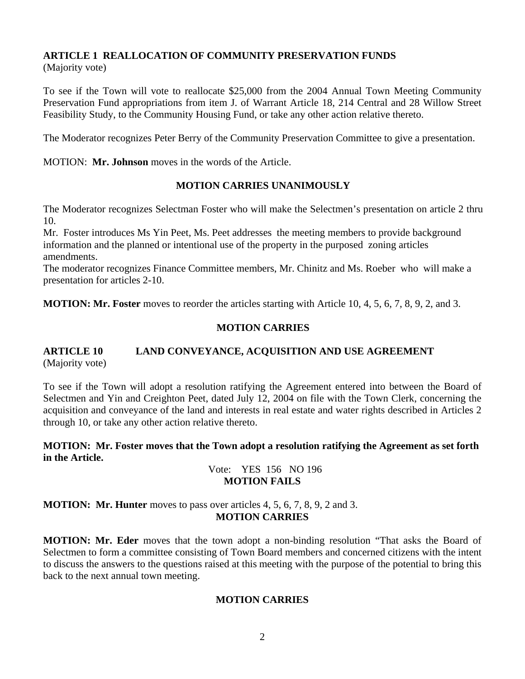#### **ARTICLE 1 REALLOCATION OF COMMUNITY PRESERVATION FUNDS**  (Majority vote)

To see if the Town will vote to reallocate \$25,000 from the 2004 Annual Town Meeting Community Preservation Fund appropriations from item J. of Warrant Article 18, 214 Central and 28 Willow Street Feasibility Study, to the Community Housing Fund, or take any other action relative thereto.

The Moderator recognizes Peter Berry of the Community Preservation Committee to give a presentation.

MOTION: **Mr. Johnson** moves in the words of the Article.

## **MOTION CARRIES UNANIMOUSLY**

The Moderator recognizes Selectman Foster who will make the Selectmen's presentation on article 2 thru 10.

Mr. Foster introduces Ms Yin Peet, Ms. Peet addresses the meeting members to provide background information and the planned or intentional use of the property in the purposed zoning articles amendments.

The moderator recognizes Finance Committee members, Mr. Chinitz and Ms. Roeber who will make a presentation for articles 2-10.

**MOTION: Mr. Foster** moves to reorder the articles starting with Article 10, 4, 5, 6, 7, 8, 9, 2, and 3.

# **MOTION CARRIES**

# **ARTICLE 10 LAND CONVEYANCE, ACQUISITION AND USE AGREEMENT**  (Majority vote)

To see if the Town will adopt a resolution ratifying the Agreement entered into between the Board of Selectmen and Yin and Creighton Peet, dated July 12, 2004 on file with the Town Clerk, concerning the acquisition and conveyance of the land and interests in real estate and water rights described in Articles 2 through 10, or take any other action relative thereto.

**MOTION: Mr. Foster moves that the Town adopt a resolution ratifying the Agreement as set forth in the Article.**

## Vote: YES 156 NO 196 **MOTION FAILS**

**MOTION: Mr. Hunter** moves to pass over articles 4, 5, 6, 7, 8, 9, 2 and 3. **MOTION CARRIES** 

**MOTION: Mr. Eder** moves that the town adopt a non-binding resolution "That asks the Board of Selectmen to form a committee consisting of Town Board members and concerned citizens with the intent to discuss the answers to the questions raised at this meeting with the purpose of the potential to bring this back to the next annual town meeting.

## **MOTION CARRIES**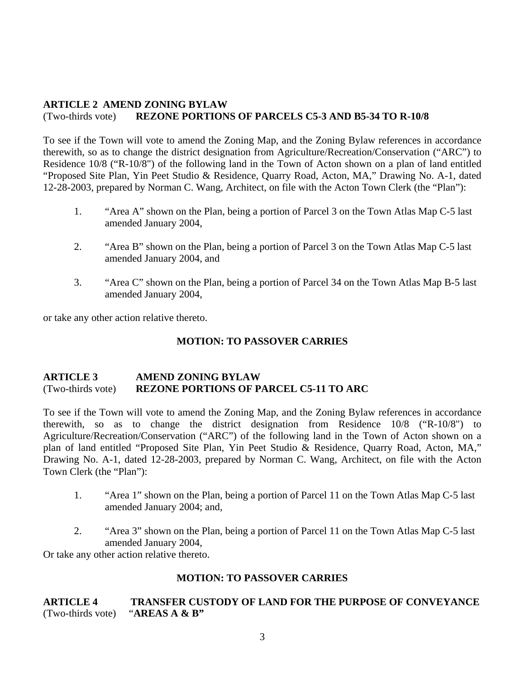## **ARTICLE 2 AMEND ZONING BYLAW**  (Two-thirds vote) **REZONE PORTIONS OF PARCELS C5-3 AND B5-34 TO R-10/8**

To see if the Town will vote to amend the Zoning Map, and the Zoning Bylaw references in accordance therewith, so as to change the district designation from Agriculture/Recreation/Conservation ("ARC") to Residence 10/8 ("R-10/8") of the following land in the Town of Acton shown on a plan of land entitled "Proposed Site Plan, Yin Peet Studio & Residence, Quarry Road, Acton, MA," Drawing No. A-1, dated 12-28-2003, prepared by Norman C. Wang, Architect, on file with the Acton Town Clerk (the "Plan"):

- 1. "Area A" shown on the Plan, being a portion of Parcel 3 on the Town Atlas Map C-5 last amended January 2004,
- 2. "Area B" shown on the Plan, being a portion of Parcel 3 on the Town Atlas Map C-5 last amended January 2004, and
- 3. "Area C" shown on the Plan, being a portion of Parcel 34 on the Town Atlas Map B-5 last amended January 2004,

or take any other action relative thereto.

#### **MOTION: TO PASSOVER CARRIES**

#### **ARTICLE 3 AMEND ZONING BYLAW**  (Two-thirds vote) **REZONE PORTIONS OF PARCEL C5-11 TO ARC**

To see if the Town will vote to amend the Zoning Map, and the Zoning Bylaw references in accordance therewith, so as to change the district designation from Residence 10/8 ("R-10/8") to Agriculture/Recreation/Conservation ("ARC") of the following land in the Town of Acton shown on a plan of land entitled "Proposed Site Plan, Yin Peet Studio & Residence, Quarry Road, Acton, MA," Drawing No. A-1, dated 12-28-2003, prepared by Norman C. Wang, Architect, on file with the Acton Town Clerk (the "Plan"):

- 1. "Area 1" shown on the Plan, being a portion of Parcel 11 on the Town Atlas Map C-5 last amended January 2004; and,
- 2. "Area 3" shown on the Plan, being a portion of Parcel 11 on the Town Atlas Map C-5 last amended January 2004,

Or take any other action relative thereto.

## **MOTION: TO PASSOVER CARRIES**

## **ARTICLE 4 TRANSFER CUSTODY OF LAND FOR THE PURPOSE OF CONVEYANCE** (Two-thirds vote) "**AREAS A & B"**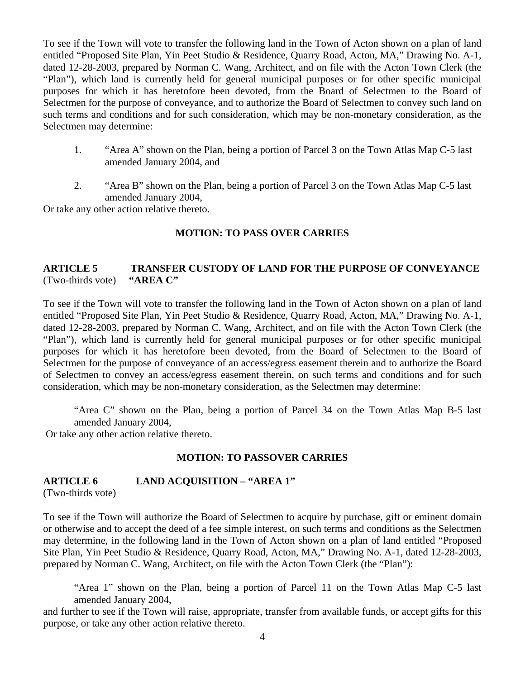To see if the Town will vote to transfer the following land in the Town of Acton shown on a plan of land entitled "Proposed Site Plan, Yin Peet Studio & Residence, Quarry Road, Acton, MA," Drawing No. A-1, dated 12-28-2003, prepared by Norman C. Wang, Architect, and on file with the Acton Town Clerk (the "Plan"), which land is currently held for general municipal purposes or for other specific municipal purposes for which it has heretofore been devoted, from the Board of Selectmen to the Board of Selectmen for the purpose of conveyance, and to authorize the Board of Selectmen to convey such land on such terms and conditions and for such consideration, which may be non-monetary consideration, as the Selectmen may determine:

- 1. "Area A" shown on the Plan, being a portion of Parcel 3 on the Town Atlas Map C-5 last amended January 2004, and
- 2. "Area B" shown on the Plan, being a portion of Parcel 3 on the Town Atlas Map C-5 last amended January 2004,

Or take any other action relative thereto.

## **MOTION: TO PASS OVER CARRIES**

#### **ARTICLE 5 TRANSFER CUSTODY OF LAND FOR THE PURPOSE OF CONVEYANCE**  (Two-thirds vote) **"AREA C"**

To see if the Town will vote to transfer the following land in the Town of Acton shown on a plan of land entitled "Proposed Site Plan, Yin Peet Studio & Residence, Quarry Road, Acton, MA," Drawing No. A-1, dated 12-28-2003, prepared by Norman C. Wang, Architect, and on file with the Acton Town Clerk (the "Plan"), which land is currently held for general municipal purposes or for other specific municipal purposes for which it has heretofore been devoted, from the Board of Selectmen to the Board of Selectmen for the purpose of conveyance of an access/egress easement therein and to authorize the Board of Selectmen to convey an access/egress easement therein, on such terms and conditions and for such consideration, which may be non-monetary consideration, as the Selectmen may determine:

"Area C" shown on the Plan, being a portion of Parcel 34 on the Town Atlas Map B-5 last amended January 2004,

Or take any other action relative thereto.

## **MOTION: TO PASSOVER CARRIES**

## **ARTICLE 6 LAND ACQUISITION – "AREA 1"**

(Two-thirds vote)

To see if the Town will authorize the Board of Selectmen to acquire by purchase, gift or eminent domain or otherwise and to accept the deed of a fee simple interest, on such terms and conditions as the Selectmen may determine, in the following land in the Town of Acton shown on a plan of land entitled "Proposed Site Plan, Yin Peet Studio & Residence, Quarry Road, Acton, MA," Drawing No. A-1, dated 12-28-2003, prepared by Norman C. Wang, Architect, on file with the Acton Town Clerk (the "Plan"):

"Area 1" shown on the Plan, being a portion of Parcel 11 on the Town Atlas Map C-5 last amended January 2004,

and further to see if the Town will raise, appropriate, transfer from available funds, or accept gifts for this purpose, or take any other action relative thereto.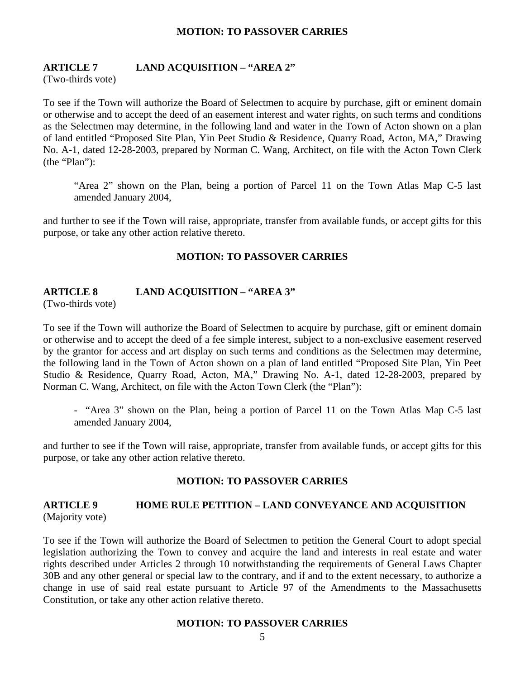#### **MOTION: TO PASSOVER CARRIES**

#### **ARTICLE 7 LAND ACQUISITION – "AREA 2"**

(Two-thirds vote)

To see if the Town will authorize the Board of Selectmen to acquire by purchase, gift or eminent domain or otherwise and to accept the deed of an easement interest and water rights, on such terms and conditions as the Selectmen may determine, in the following land and water in the Town of Acton shown on a plan of land entitled "Proposed Site Plan, Yin Peet Studio & Residence, Quarry Road, Acton, MA," Drawing No. A-1, dated 12-28-2003, prepared by Norman C. Wang, Architect, on file with the Acton Town Clerk (the "Plan"):

"Area 2" shown on the Plan, being a portion of Parcel 11 on the Town Atlas Map C-5 last amended January 2004,

and further to see if the Town will raise, appropriate, transfer from available funds, or accept gifts for this purpose, or take any other action relative thereto.

#### **MOTION: TO PASSOVER CARRIES**

#### **ARTICLE 8 LAND ACQUISITION – "AREA 3"**

(Two-thirds vote)

To see if the Town will authorize the Board of Selectmen to acquire by purchase, gift or eminent domain or otherwise and to accept the deed of a fee simple interest, subject to a non-exclusive easement reserved by the grantor for access and art display on such terms and conditions as the Selectmen may determine, the following land in the Town of Acton shown on a plan of land entitled "Proposed Site Plan, Yin Peet Studio & Residence, Quarry Road, Acton, MA," Drawing No. A-1, dated 12-28-2003, prepared by Norman C. Wang, Architect, on file with the Acton Town Clerk (the "Plan"):

- "Area 3" shown on the Plan, being a portion of Parcel 11 on the Town Atlas Map C-5 last amended January 2004,

and further to see if the Town will raise, appropriate, transfer from available funds, or accept gifts for this purpose, or take any other action relative thereto.

#### **MOTION: TO PASSOVER CARRIES**

## **ARTICLE 9 HOME RULE PETITION – LAND CONVEYANCE AND ACQUISITION**  (Majority vote)

To see if the Town will authorize the Board of Selectmen to petition the General Court to adopt special legislation authorizing the Town to convey and acquire the land and interests in real estate and water rights described under Articles 2 through 10 notwithstanding the requirements of General Laws Chapter 30B and any other general or special law to the contrary, and if and to the extent necessary, to authorize a change in use of said real estate pursuant to Article 97 of the Amendments to the Massachusetts Constitution, or take any other action relative thereto.

#### **MOTION: TO PASSOVER CARRIES**